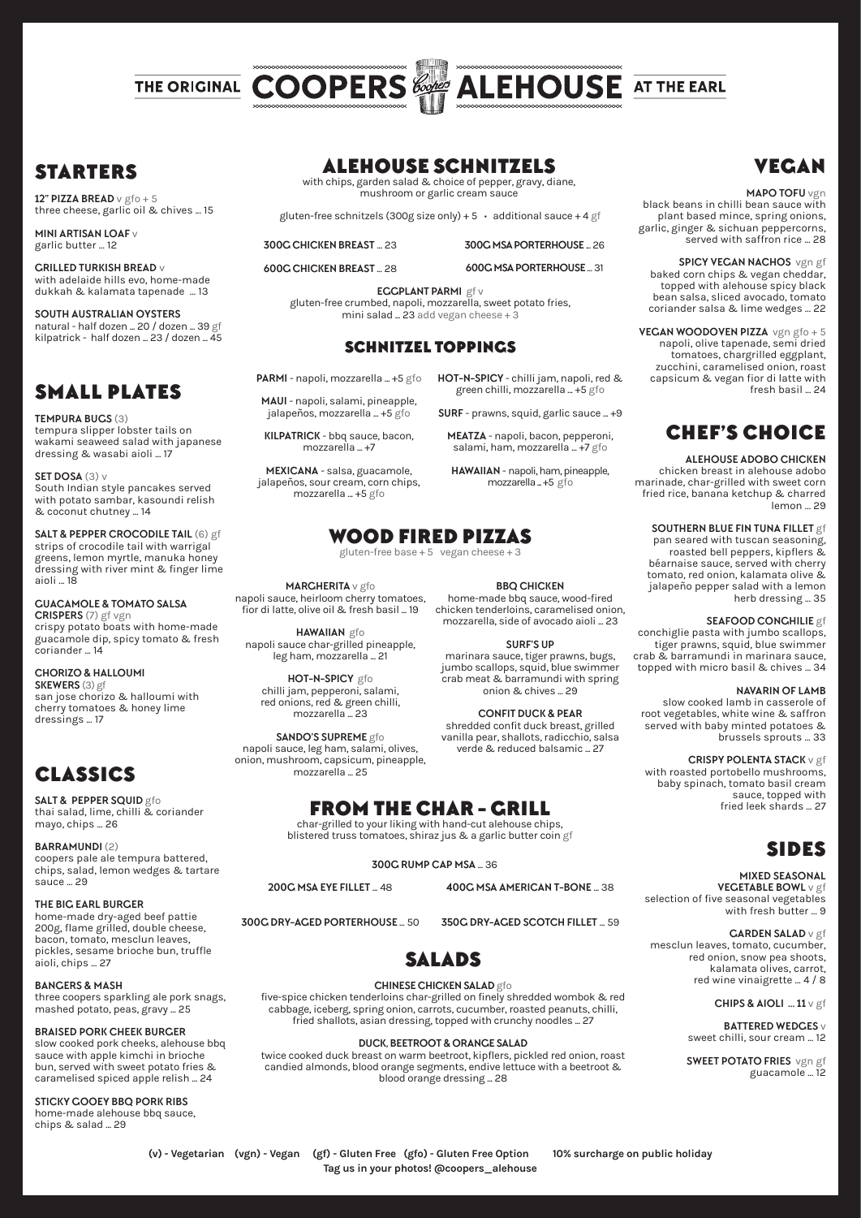

# **STARTERS**

**12" PIZZA BREAD** v gfo + 5 three cheese, garlic oil & chives ... 15

**MINI ARTISAN LOAF** v garlic butter ... 12

**GRILLED TURKISH BREAD** v with adelaide hills evo, home-made dukkah & kalamata tapenade ... 13

**SOUTH AUSTRALIAN OYSTERS** natural - half dozen ... 20 / dozen ... 39 gf kilpatrick - half dozen ... 23 / dozen ... 45

# SMALL PLATES

**TEMPURA BUGS** (3) tempura slipper lobster tails on wakami seaweed salad with japanese dressing & wasabi aioli ... 17

**SET DOSA** (3) v South Indian style pancakes served with potato sambar, kasoundi relish & coconut chutney ... 14

**SALT & PEPPER CROCODILE TAIL** (6) gf strips of crocodile tail with warrigal greens, lemon myrtle, manuka honey dressing with river mint & finger lime aioli ... 18

**GUACAMOLE & TOMATO SALSA CRISPERS** (7) gf vgn crispy potato boats with home-made guacamole dip, spicy tomato & fresh coriander ... 14

**CHORIZO & HALLOUMI SKEWERS** (3) gf san jose chorizo & halloumi with cherry tomatoes & honey lime dressings ... 17

# CLASSICS

**SALT & PEPPER SQUID** gfo thai salad, lime, chilli & coriander mayo, chips ... 26

**BARRAMUNDI** (2) coopers pale ale tempura battered, chips, salad, lemon wedges & tartare sauce 29

**THE BIG EARL BURGER** home-made dry-aged beef pattie 200g, flame grilled, double cheese, bacon, tomato, mesclun leaves, pickles, sesame brioche bun, truffle aioli, chips ... 27

**BANGERS & MASH**  three coopers sparkling ale pork snags, mashed potato, peas, gravy ... 25

**BRAISED PORK CHEEK BURGER** slow cooked pork cheeks, alehouse bbq sauce with apple kimchi in brioche bun, served with sweet potato fries & caramelised spiced apple relish ... 24

**STICKY GOOEY BBQ PORK RIBS** home-made alehouse bbq sauce, chips & salad ... 29

# ALEHOUSE SCHNITZELS

with chips, garden salad & choice of pepper, gravy, diane, mushroom or garlic cream sauce

gluten-free schnitzels (300g size only) + 5 **•** additional sauce + 4 gf

**300G CHICKEN BREAST** ... 23 **600C CHICKEN BREAST 28** 

**300G MSA PORTERHOUSE** ... 26 **600G MSA PORTERHOUSE** ... 31

**HOT-N-SPICY** - chilli jam, napoli, red & green chilli, mozzarella ... +5 gfo **SURF** - prawns, squid, garlic sauce ... +9 **MEATZA** - napoli, bacon, pepperoni, salami, ham, mozzarella ... +7 gfo **HAWAIIAN** - napoli, ham, pineapple, mozzarella ... +5 gfo

**EGGPLANT PARMI** gf v gluten-free crumbed, napoli, mozzarella, sweet potato fries, mini salad ...  $23$  add vegan cheese + 3

### SCHNITZEL TOPPINGS

**PARMI** - napoli, mozzarella ... +5 gfo

**MAUI** - napoli, salami, pineapple, jalapeños, mozzarella ... +5 gfo

**KILPATRICK** - bbq sauce, bacon, mozzarella ... +7

**MEXICANA** - salsa, guacamole, jalapeños, sour cream, corn chips, mozzarella ... +5 gfo

WOOD FIRED PIZZAS

gluten-free base  $+5$  vegan cheese  $+$ 

**MARGHERITA** v gfo napoli sauce, heirloom cherry tomatoes, fior di latte, olive oil & fresh basil ... 19

**HAWAIIAN** gfo napoli sauce char-grilled pineapple, leg ham, mozzarella ... 21

**HOT-N-SPICY** gfo chilli jam, pepperoni, salami, red onions, red & green chilli, mozzarella ... 23

**SANDO'S SUPREME** gfo napoli sauce, leg ham, salami, olives, onion, mushroom, capsicum, pineapple, mozzarella ... 25

# FROM THE CHAR - GRILL

char-grilled to your liking with hand-cut alehouse chips, blistered truss tomatoes, shiraz jus & a garlic butter coin gf

**300G RUMP CAP MSA** ... 36

**200G MSA EYE FILLET** ... 48

**300G DRY-AGED PORTERHOUSE** ... 50 **350G DRY-AGED SCOTCH FILLET** ... 59



### **CHINESE CHICKEN SALAD** gfo

five-spice chicken tenderloins char-grilled on finely shredded wombok & red cabbage, iceberg, spring onion, carrots, cucumber, roasted peanuts, chilli, fried shallots, asian dressing, topped with crunchy noodles ... 27

**DUCK, BEETROOT & ORANGE SALAD**

twice cooked duck breast on warm beetroot, kipflers, pickled red onion, roast candied almonds, blood orange segments, endive lettuce with a beetroot & blood orange dressing ... 28

# VEGAN

#### **MAPO TOFU** vgn

black beans in chilli bean sauce with plant based mince, spring onions, garlic, ginger & sichuan peppercorns, served with saffron rice ... 28

**SPICY VEGAN NACHOS** vgn gf baked corn chips & vegan cheddar, topped with alehouse spicy black bean salsa, sliced avocado, tomato coriander salsa & lime wedges ... 22

**VEGAN WOODOVEN PIZZA** vgn gfo + 5 napoli, olive tapenade, semi dried tomatoes, chargrilled eggplant, zucchini, caramelised onion, roast capsicum & vegan fior di latte with fresh basil ... 24

# CHEF'S CHOICE

#### **ALEHOUSE ADOBO CHICKEN**

chicken breast in alehouse adobo marinade, char-grilled with sweet corn fried rice, banana ketchup & charred lemon ... 29

## **SOUTHERN BLUE FIN TUNA FILLET** gf

pan seared with tuscan seasoning, roasted bell peppers, kipflers & béarnaise sauce, served with cherry tomato, red onion, kalamata olive & jalapeño pepper salad with a lemon herb dressing ... 35

#### **SEAFOOD CONGHILIE** gf

conchiglie pasta with jumbo scallops, tiger prawns, squid, blue swimmer crab & barramundi in marinara sauce, topped with micro basil & chives ... 34

#### **NAVARIN OF LAMB**

slow cooked lamb in casserole of root vegetables, white wine & saffron served with baby minted potatoes & brussels sprouts ... 33

#### **CRISPY POLENTA STACK** v gf

with roasted portobello mushrooms, baby spinach, tomato basil cream sauce, topped with fried leek shards ... 27

# SIDES

#### **MIXED SEASONAL VEGETABLE BOWL** v gf selection of five seasonal vegetables with fresh butter ... 9

**GARDEN SALAD** v gf mesclun leaves, tomato, cucumber, red onion, snow pea shoots, kalamata olives, carrot, red wine vinaigrette ... 4 / 8

**CHIPS & AIOLI ... 11** v gf

**BATTERED WEDGES** v sweet chilli, sour cream ... 12

**SWEET POTATO FRIES** vgn gf guacamole ... 12

**(v) - Vegetarian (vgn) - Vegan (gf) - Gluten Free (gfo) - Gluten Free Option • 10% surcharge on public holiday**

**Tag us in your photos! @coopers\_alehouse**

**BBQ CHICKEN**  home-made bbq sauce, wood-fired mozzarella, side of avocado aioli ... 23

**SURF'S UP**  marinara sauce, tiger prawns, bugs, jumbo scallops, squid, blue swimmer crab meat & barramundi with spring onion & chives ... 29

**CONFIT DUCK & PEAR** shredded confit duck breast, grilled vanilla pear, shallots, radicchio, salsa

verde & reduced balsamic ... 27

**400G MSA AMERICAN T-BONE** ... 38

chicken tenderloins, caramelised onion,